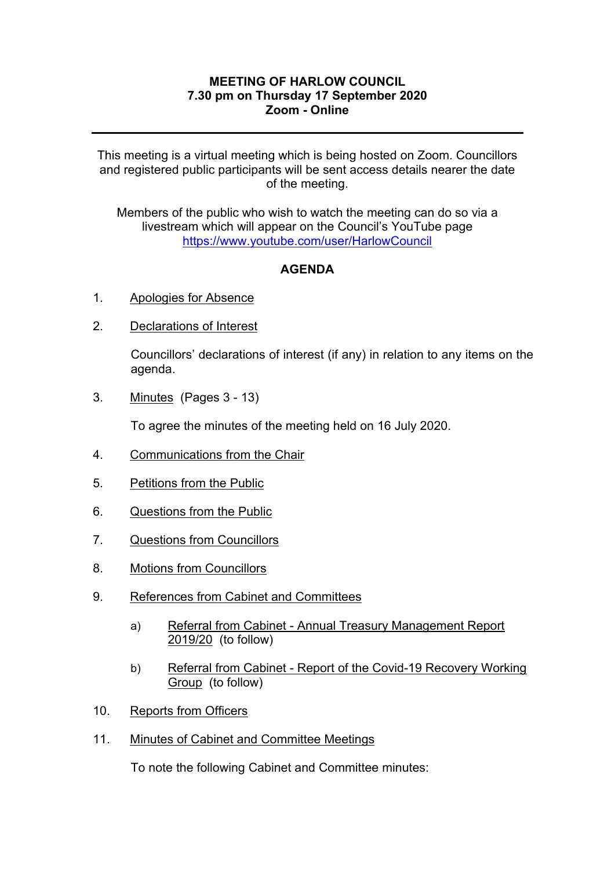## **MEETING OF HARLOW COUNCIL 7.30 pm on Thursday 17 September 2020 Zoom - Online**

This meeting is a virtual meeting which is being hosted on Zoom. Councillors and registered public participants will be sent access details nearer the date of the meeting.

Members of the public who wish to watch the meeting can do so via a livestream which will appear on the Council's YouTube page <https://www.youtube.com/user/HarlowCouncil>

## **AGENDA**

- 1. Apologies for Absence
- 2. Declarations of Interest

Councillors' declarations of interest (if any) in relation to any items on the agenda.

3. Minutes(Pages 3 - 13)

To agree the minutes of the meeting held on 16 July 2020.

- 4. Communications from the Chair
- 5. Petitions from the Public
- 6. Questions from the Public
- 7. Questions from Councillors
- 8. Motions from Councillors
- 9. References from Cabinet and Committees
	- a) Referral from Cabinet Annual Treasury Management Report 2019/20 (to follow)
	- b) Referral from Cabinet Report of the Covid-19 Recovery Working Group (to follow)
- 10. Reports from Officers
- 11. Minutes of Cabinet and Committee Meetings

To note the following Cabinet and Committee minutes: